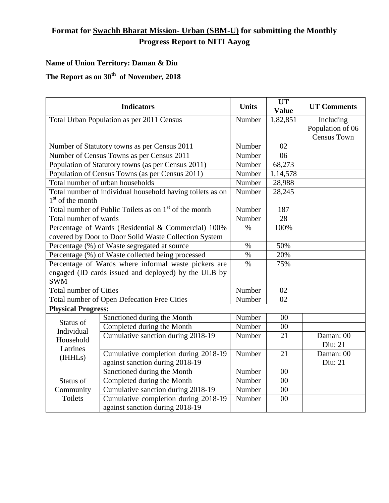## **Format for Swachh Bharat Mission- Urban (SBM-U) for submitting the Monthly Progress Report to NITI Aayog**

## **Name of Union Territory: Daman & Diu**

## **The Report as on 30th of November, 2018**

| <b>Indicators</b>                                                 |                                      | <b>Units</b> | <b>UT</b><br><b>Value</b> | <b>UT Comments</b> |  |  |  |
|-------------------------------------------------------------------|--------------------------------------|--------------|---------------------------|--------------------|--|--|--|
| Total Urban Population as per 2011 Census                         |                                      | Number       | 1,82,851                  | Including          |  |  |  |
|                                                                   |                                      |              |                           | Population of 06   |  |  |  |
|                                                                   |                                      |              |                           | <b>Census Town</b> |  |  |  |
| Number of Statutory towns as per Census 2011                      |                                      | Number       | 02                        |                    |  |  |  |
| Number of Census Towns as per Census 2011                         |                                      | Number       | 06                        |                    |  |  |  |
| Population of Statutory towns (as per Census 2011)                | Number                               | 68,273       |                           |                    |  |  |  |
| Population of Census Towns (as per Census 2011)                   | Number                               | 1,14,578     |                           |                    |  |  |  |
| Total number of urban households                                  | Number                               | 28,988       |                           |                    |  |  |  |
| Total number of individual household having toilets as on         | Number                               | 28,245       |                           |                    |  |  |  |
| $1st$ of the month                                                |                                      |              |                           |                    |  |  |  |
| Total number of Public Toilets as on 1 <sup>st</sup> of the month | Number                               | 187          |                           |                    |  |  |  |
| Total number of wards                                             |                                      | Number       | 28                        |                    |  |  |  |
| Percentage of Wards (Residential & Commercial) 100%               | $\%$                                 | 100%         |                           |                    |  |  |  |
| covered by Door to Door Solid Waste Collection System             |                                      |              |                           |                    |  |  |  |
| Percentage (%) of Waste segregated at source                      |                                      | $\%$         | 50%                       |                    |  |  |  |
| Percentage (%) of Waste collected being processed                 |                                      | $\%$         | 20%                       |                    |  |  |  |
| Percentage of Wards where informal waste pickers are              |                                      | $\%$         | 75%                       |                    |  |  |  |
| engaged (ID cards issued and deployed) by the ULB by              |                                      |              |                           |                    |  |  |  |
| <b>SWM</b>                                                        |                                      |              |                           |                    |  |  |  |
| <b>Total number of Cities</b>                                     |                                      | Number       | 02                        |                    |  |  |  |
| Total number of Open Defecation Free Cities                       |                                      | Number       | 02                        |                    |  |  |  |
| <b>Physical Progress:</b>                                         |                                      |              |                           |                    |  |  |  |
| Status of<br>Individual                                           | Sanctioned during the Month          | Number       | 00                        |                    |  |  |  |
|                                                                   | Completed during the Month           | Number       | $00\,$                    |                    |  |  |  |
| Household                                                         | Cumulative sanction during 2018-19   | Number       | 21                        | Daman: 00          |  |  |  |
| Latrines                                                          |                                      |              |                           | Diu: 21            |  |  |  |
| (IHHLs)                                                           | Cumulative completion during 2018-19 | Number       | 21                        | Daman: 00          |  |  |  |
|                                                                   | against sanction during 2018-19      |              |                           | Diu: 21            |  |  |  |
| Status of<br>Community<br><b>Toilets</b>                          | Sanctioned during the Month          | Number       | 00                        |                    |  |  |  |
|                                                                   | Completed during the Month           | Number       | 00                        |                    |  |  |  |
|                                                                   | Cumulative sanction during 2018-19   | Number       | 00                        |                    |  |  |  |
|                                                                   | Cumulative completion during 2018-19 | Number       | 00                        |                    |  |  |  |
|                                                                   | against sanction during 2018-19      |              |                           |                    |  |  |  |